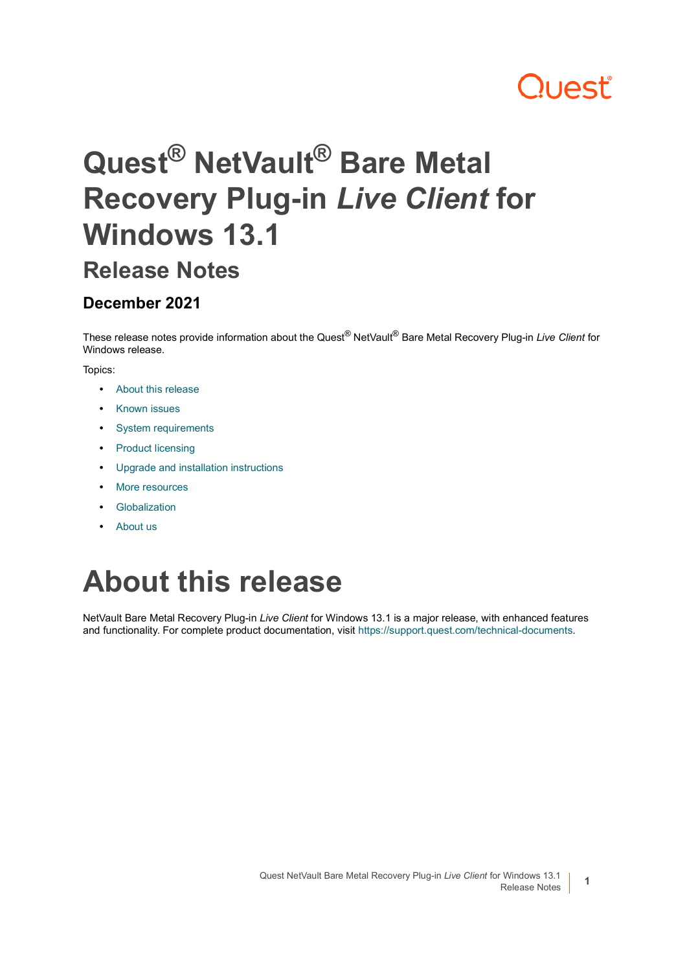### **Juest**

# **Quest® NetVault® Bare Metal Recovery Plug-in** *Live Client* **for Windows 13.1**

#### **Release Notes**

#### **December 2021**

These release notes provide information about the Quest® NetVault® Bare Metal Recovery Plug-in *Live Client* for Windows release.

#### Topics:

- **•** [About this release](#page-0-0)
- **•** [Known issues](#page-1-0)
- **•** [System requirements](#page-1-1)
- **•** [Product licensing](#page-1-2)
- **•** [Upgrade and installation instructions](#page-2-0)
- **•** [More resources](#page-2-1)
- **•** [Globalization](#page-2-2)
- **•** [About us](#page-2-3)

### <span id="page-0-0"></span>**About this release**

NetVault Bare Metal Recovery Plug-in *Live Client* for Windows 13.1 is a major release, with enhanced features and functionality. For complete product documentation, visit <https://support.quest.com/technical-documents>.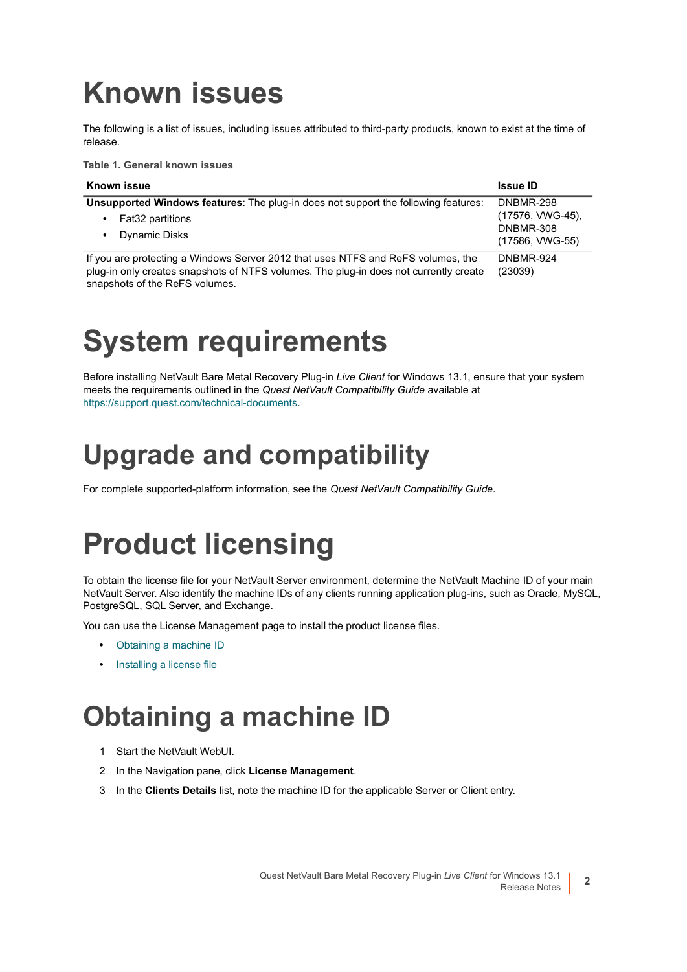### <span id="page-1-0"></span>**Known issues**

The following is a list of issues, including issues attributed to third-party products, known to exist at the time of release.

**Table 1. General known issues**

| Known issue                                                                                                                                                                                                 | <b>Issue ID</b>                                               |
|-------------------------------------------------------------------------------------------------------------------------------------------------------------------------------------------------------------|---------------------------------------------------------------|
| Unsupported Windows features: The plug-in does not support the following features:<br>Fat32 partitions<br>$\bullet$<br><b>Dynamic Disks</b><br>$\bullet$                                                    | DNBMR-298<br>(17576, VWG-45),<br>DNBMR-308<br>(17586, VWG-55) |
| If you are protecting a Windows Server 2012 that uses NTFS and ReFS volumes, the<br>plug-in only creates snapshots of NTFS volumes. The plug-in does not currently create<br>snapshots of the ReFS volumes. | DNBMR-924<br>(23039)                                          |

### <span id="page-1-1"></span>**System requirements**

Before installing NetVault Bare Metal Recovery Plug-in *Live Client* for Windows 13.1, ensure that your system meets the requirements outlined in the *Quest NetVault Compatibility Guide* available at [https://support.quest.com/technical-documents.](https://support.quest.com/technical-documents)

#### **Upgrade and compatibility**

For complete supported-platform information, see the *Quest NetVault Compatibility Guide*.

# <span id="page-1-2"></span>**Product licensing**

To obtain the license file for your NetVault Server environment, determine the NetVault Machine ID of your main NetVault Server. Also identify the machine IDs of any clients running application plug-ins, such as Oracle, MySQL, PostgreSQL, SQL Server, and Exchange.

You can use the License Management page to install the product license files.

- **•** [Obtaining a machine ID](#page-1-3)
- **•** [Installing a license file](#page-2-4)

#### <span id="page-1-3"></span>**Obtaining a machine ID**

- 1 Start the NetVault WebUI.
- 2 In the Navigation pane, click **License Management**.
- 3 In the **Clients Details** list, note the machine ID for the applicable Server or Client entry.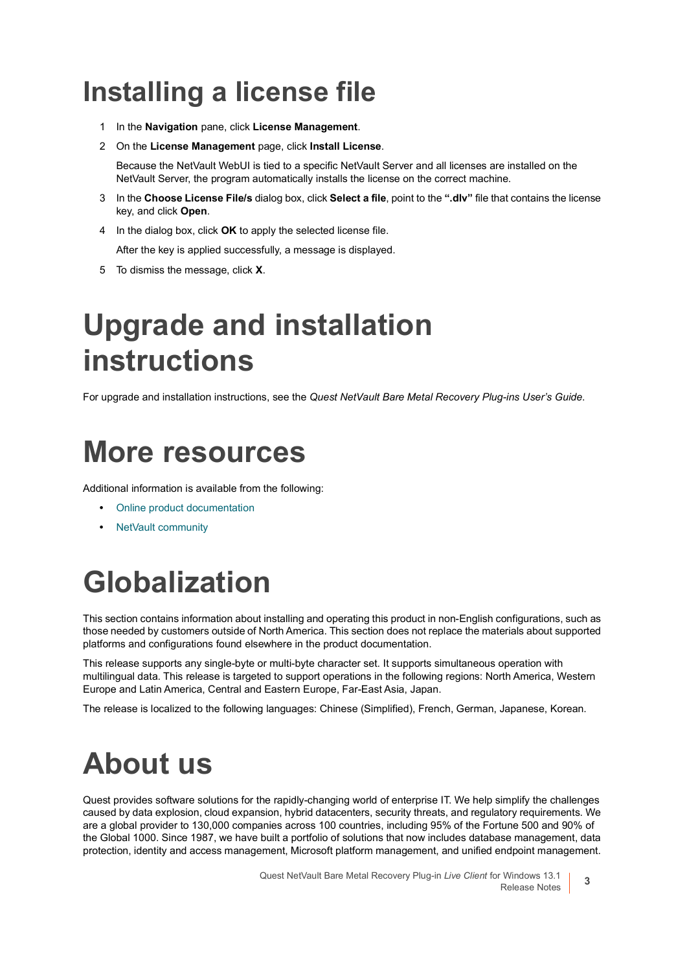#### <span id="page-2-4"></span>**Installing a license file**

- 1 In the **Navigation** pane, click **License Management**.
- 2 On the **License Management** page, click **Install License**.

Because the NetVault WebUI is tied to a specific NetVault Server and all licenses are installed on the NetVault Server, the program automatically installs the license on the correct machine.

- 3 In the **Choose License File/s** dialog box, click **Select a file**, point to the **".dlv"** file that contains the license key, and click **Open**.
- 4 In the dialog box, click **OK** to apply the selected license file.

After the key is applied successfully, a message is displayed.

5 To dismiss the message, click **X**.

### <span id="page-2-0"></span>**Upgrade and installation instructions**

For upgrade and installation instructions, see the *Quest NetVault Bare Metal Recovery Plug-ins User's Guide*.

#### <span id="page-2-1"></span>**More resources**

Additional information is available from the following:

- **•** [Online product documentation](https://support.quest.com/technical-documents/)
- **•** [NetVault community](https://www.quest.com/community/products/netvault/)

# <span id="page-2-2"></span>**Globalization**

This section contains information about installing and operating this product in non-English configurations, such as those needed by customers outside of North America. This section does not replace the materials about supported platforms and configurations found elsewhere in the product documentation.

This release supports any single-byte or multi-byte character set. It supports simultaneous operation with multilingual data. This release is targeted to support operations in the following regions: North America, Western Europe and Latin America, Central and Eastern Europe, Far-East Asia, Japan.

The release is localized to the following languages: Chinese (Simplified), French, German, Japanese, Korean.

### <span id="page-2-3"></span>**About us**

Quest provides software solutions for the rapidly-changing world of enterprise IT. We help simplify the challenges caused by data explosion, cloud expansion, hybrid datacenters, security threats, and regulatory requirements. We are a global provider to 130,000 companies across 100 countries, including 95% of the Fortune 500 and 90% of the Global 1000. Since 1987, we have built a portfolio of solutions that now includes database management, data protection, identity and access management, Microsoft platform management, and unified endpoint management.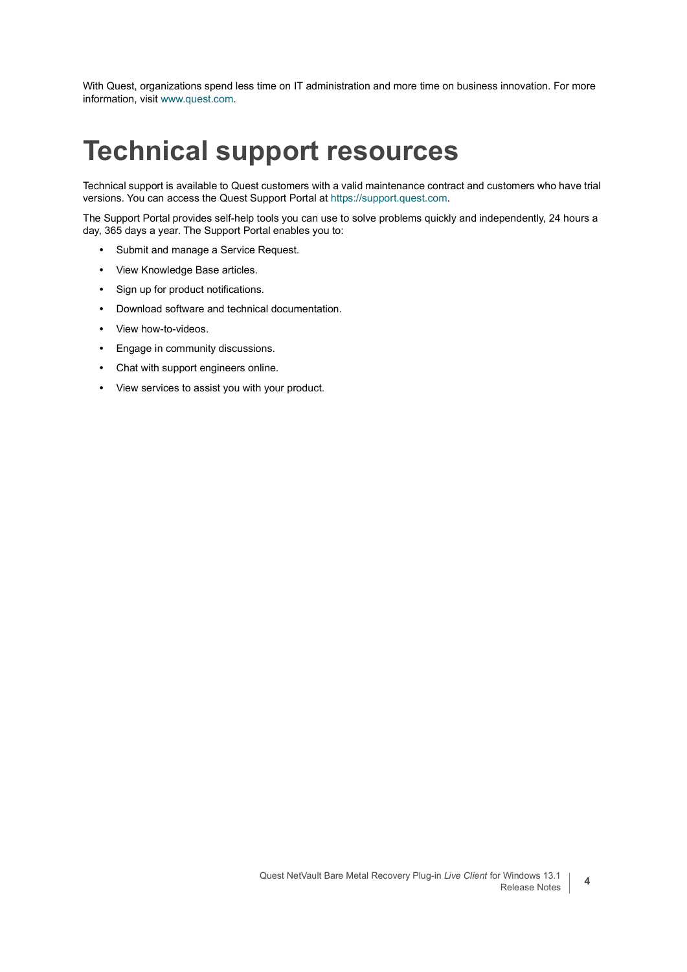With Quest, organizations spend less time on IT administration and more time on business innovation. For more information, visit [www.quest.com](https://www.quest.com/company/contact-us.aspx).

#### **Technical support resources**

Technical support is available to Quest customers with a valid maintenance contract and customers who have trial versions. You can access the Quest Support Portal at [https://support.quest.com.](https://support.quest.com)

The Support Portal provides self-help tools you can use to solve problems quickly and independently, 24 hours a day, 365 days a year. The Support Portal enables you to:

- **•** Submit and manage a Service Request.
- **•** View Knowledge Base articles.
- **•** Sign up for product notifications.
- **•** Download software and technical documentation.
- **•** View how-to-videos.
- **•** Engage in community discussions.
- **•** Chat with support engineers online.
- **•** View services to assist you with your product.